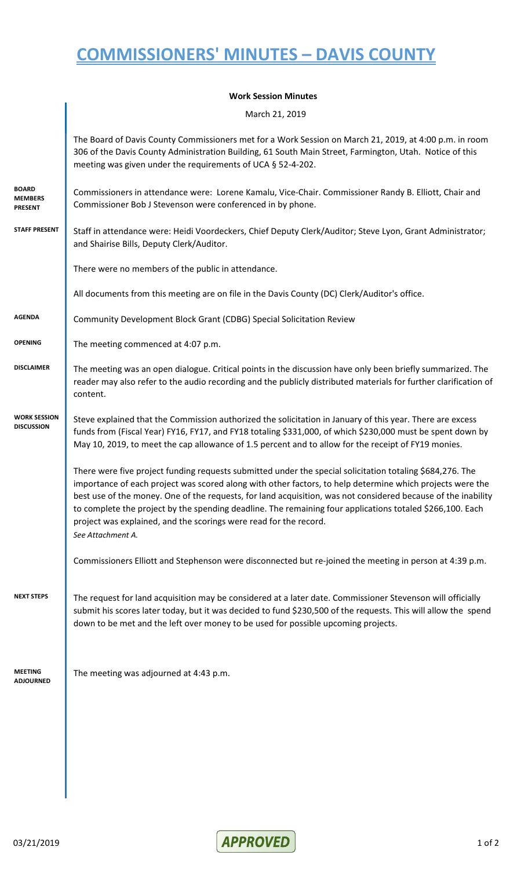## **COMMISSIONERS' MINUTES – DAVIS COUNTY**

| <b>Work Session Minutes</b> |  |
|-----------------------------|--|
|-----------------------------|--|

March 21, 2019

|                                           | The Board of Davis County Commissioners met for a Work Session on March 21, 2019, at 4:00 p.m. in room<br>306 of the Davis County Administration Building, 61 South Main Street, Farmington, Utah. Notice of this<br>meeting was given under the requirements of UCA § 52-4-202.                                                                                                                                                                                                                                                               |
|-------------------------------------------|------------------------------------------------------------------------------------------------------------------------------------------------------------------------------------------------------------------------------------------------------------------------------------------------------------------------------------------------------------------------------------------------------------------------------------------------------------------------------------------------------------------------------------------------|
| BOARD<br><b>MEMBERS</b><br><b>PRESENT</b> | Commissioners in attendance were: Lorene Kamalu, Vice-Chair. Commissioner Randy B. Elliott, Chair and<br>Commissioner Bob J Stevenson were conferenced in by phone.                                                                                                                                                                                                                                                                                                                                                                            |
| <b>STAFF PRESENT</b>                      | Staff in attendance were: Heidi Voordeckers, Chief Deputy Clerk/Auditor; Steve Lyon, Grant Administrator;<br>and Shairise Bills, Deputy Clerk/Auditor.                                                                                                                                                                                                                                                                                                                                                                                         |
|                                           | There were no members of the public in attendance.                                                                                                                                                                                                                                                                                                                                                                                                                                                                                             |
|                                           | All documents from this meeting are on file in the Davis County (DC) Clerk/Auditor's office.                                                                                                                                                                                                                                                                                                                                                                                                                                                   |
| <b>AGENDA</b>                             | Community Development Block Grant (CDBG) Special Solicitation Review                                                                                                                                                                                                                                                                                                                                                                                                                                                                           |
| <b>OPENING</b>                            | The meeting commenced at 4:07 p.m.                                                                                                                                                                                                                                                                                                                                                                                                                                                                                                             |
| <b>DISCLAIMER</b>                         | The meeting was an open dialogue. Critical points in the discussion have only been briefly summarized. The<br>reader may also refer to the audio recording and the publicly distributed materials for further clarification of<br>content.                                                                                                                                                                                                                                                                                                     |
| <b>WORK SESSION</b><br><b>DISCUSSION</b>  | Steve explained that the Commission authorized the solicitation in January of this year. There are excess<br>funds from (Fiscal Year) FY16, FY17, and FY18 totaling \$331,000, of which \$230,000 must be spent down by<br>May 10, 2019, to meet the cap allowance of 1.5 percent and to allow for the receipt of FY19 monies.                                                                                                                                                                                                                 |
|                                           | There were five project funding requests submitted under the special solicitation totaling \$684,276. The<br>importance of each project was scored along with other factors, to help determine which projects were the<br>best use of the money. One of the requests, for land acquisition, was not considered because of the inability<br>to complete the project by the spending deadline. The remaining four applications totaled \$266,100. Each<br>project was explained, and the scorings were read for the record.<br>See Attachment A. |
|                                           | Commissioners Elliott and Stephenson were disconnected but re-joined the meeting in person at 4:39 p.m.                                                                                                                                                                                                                                                                                                                                                                                                                                        |
| <b>NEXT STEPS</b>                         | The request for land acquisition may be considered at a later date. Commissioner Stevenson will officially<br>submit his scores later today, but it was decided to fund \$230,500 of the requests. This will allow the spend<br>down to be met and the left over money to be used for possible upcoming projects.                                                                                                                                                                                                                              |
| <b>MEETING</b><br><b>ADJOURNED</b>        | The meeting was adjourned at 4:43 p.m.                                                                                                                                                                                                                                                                                                                                                                                                                                                                                                         |
|                                           |                                                                                                                                                                                                                                                                                                                                                                                                                                                                                                                                                |
|                                           |                                                                                                                                                                                                                                                                                                                                                                                                                                                                                                                                                |